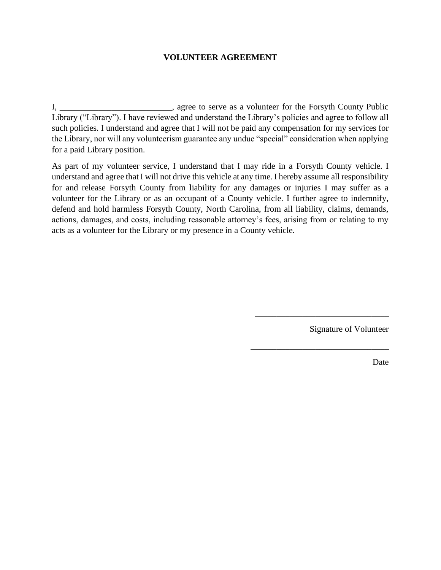## **VOLUNTEER AGREEMENT**

I, \_\_\_\_\_\_\_\_\_\_\_\_\_\_\_\_\_\_\_\_\_\_\_, agree to serve as a volunteer for the Forsyth County Public Library ("Library"). I have reviewed and understand the Library's policies and agree to follow all such policies. I understand and agree that I will not be paid any compensation for my services for the Library, nor will any volunteerism guarantee any undue "special" consideration when applying for a paid Library position.

As part of my volunteer service, I understand that I may ride in a Forsyth County vehicle. I understand and agree that I will not drive this vehicle at any time. I hereby assume all responsibility for and release Forsyth County from liability for any damages or injuries I may suffer as a volunteer for the Library or as an occupant of a County vehicle. I further agree to indemnify, defend and hold harmless Forsyth County, North Carolina, from all liability, claims, demands, actions, damages, and costs, including reasonable attorney's fees, arising from or relating to my acts as a volunteer for the Library or my presence in a County vehicle.

Signature of Volunteer

\_\_\_\_\_\_\_\_\_\_\_\_\_\_\_\_\_\_\_\_\_\_\_\_\_\_\_\_\_\_\_

\_\_\_\_\_\_\_\_\_\_\_\_\_\_\_\_\_\_\_\_\_\_\_\_\_\_\_\_\_\_\_\_

Date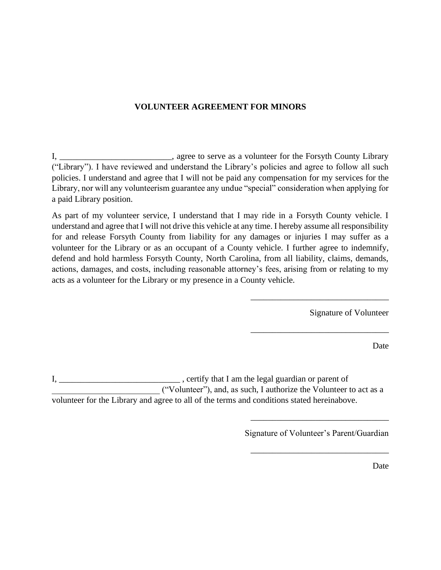## **VOLUNTEER AGREEMENT FOR MINORS**

I, \_\_\_\_\_\_\_\_\_\_\_\_\_\_\_\_\_\_\_\_\_\_\_\_\_\_, agree to serve as a volunteer for the Forsyth County Library ("Library"). I have reviewed and understand the Library's policies and agree to follow all such policies. I understand and agree that I will not be paid any compensation for my services for the Library, nor will any volunteerism guarantee any undue "special" consideration when applying for a paid Library position.

As part of my volunteer service, I understand that I may ride in a Forsyth County vehicle. I understand and agree that I will not drive this vehicle at any time. I hereby assume all responsibility for and release Forsyth County from liability for any damages or injuries I may suffer as a volunteer for the Library or as an occupant of a County vehicle. I further agree to indemnify, defend and hold harmless Forsyth County, North Carolina, from all liability, claims, demands, actions, damages, and costs, including reasonable attorney's fees, arising from or relating to my acts as a volunteer for the Library or my presence in a County vehicle.

Signature of Volunteer

Date

I, the contract of the contract of the legal guardian or parent of  $\overline{I}$ ,  $\overline{I}$ \_\_\_\_\_\_\_\_\_\_\_\_\_\_\_\_\_\_\_\_\_\_\_\_\_ ("Volunteer"), and, as such, I authorize the Volunteer to act as a volunteer for the Library and agree to all of the terms and conditions stated hereinabove.

Signature of Volunteer's Parent/Guardian

\_\_\_\_\_\_\_\_\_\_\_\_\_\_\_\_\_\_\_\_\_\_\_\_\_\_\_\_\_\_\_\_

\_\_\_\_\_\_\_\_\_\_\_\_\_\_\_\_\_\_\_\_\_\_\_\_\_\_\_\_\_\_\_\_

\_\_\_\_\_\_\_\_\_\_\_\_\_\_\_\_\_\_\_\_\_\_\_\_\_\_\_\_\_\_\_\_

\_\_\_\_\_\_\_\_\_\_\_\_\_\_\_\_\_\_\_\_\_\_\_\_\_\_\_\_\_\_\_\_

Date